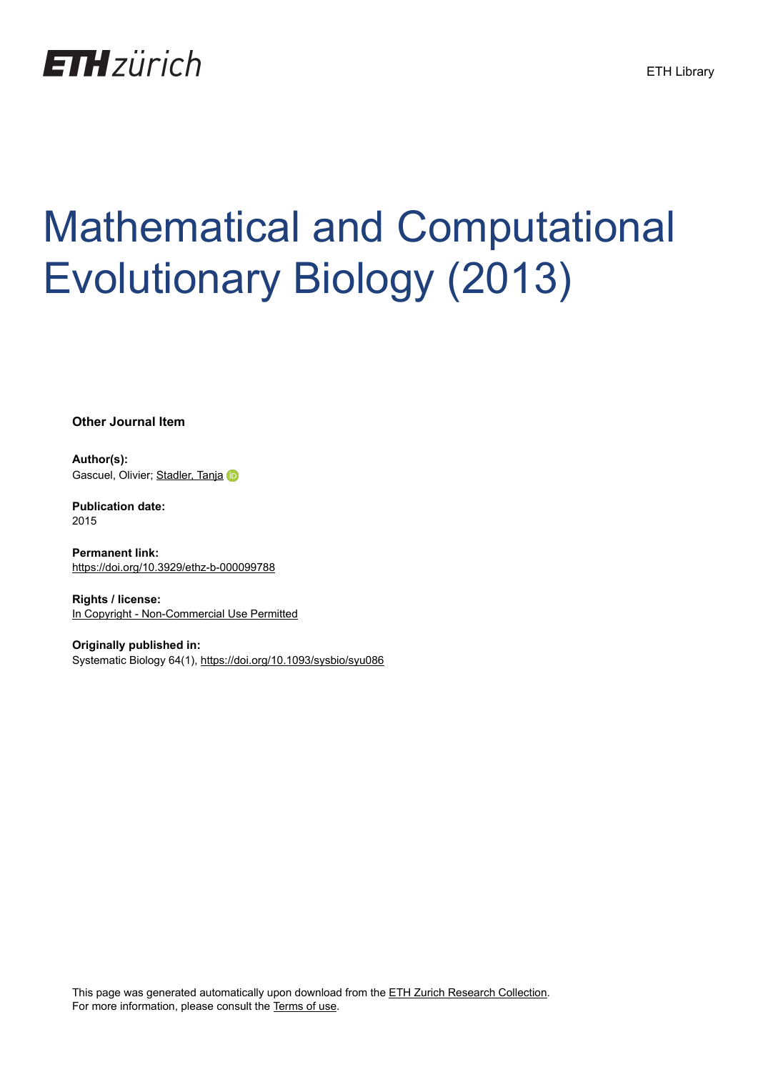

# Mathematical and Computational Evolutionary Biology (2013)

**Other Journal Item**

**Author(s):** Gascuel, Olivier; [Stadler, Tanja](https://orcid.org/0000-0001-6431-535X)

**Publication date:** 2015

**Permanent link:** <https://doi.org/10.3929/ethz-b-000099788>

**Rights / license:** [In Copyright - Non-Commercial Use Permitted](http://rightsstatements.org/page/InC-NC/1.0/)

**Originally published in:** Systematic Biology 64(1), <https://doi.org/10.1093/sysbio/syu086>

This page was generated automatically upon download from the [ETH Zurich Research Collection.](https://www.research-collection.ethz.ch) For more information, please consult the [Terms of use](https://www.research-collection.ethz.ch/terms-of-use).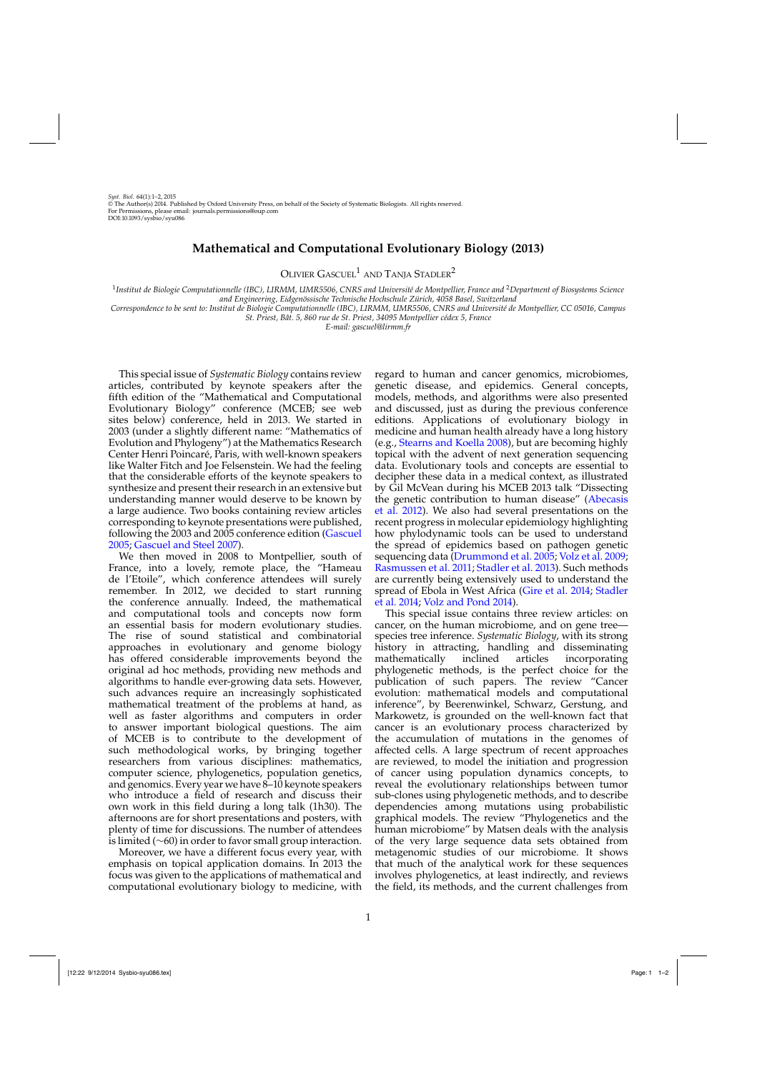## **Mathematical and Computational Evolutionary Biology (2013)**

OLIVIER GASCUEL<sup>1</sup> AND TANJA STADLER<sup>2</sup>

<sup>1</sup>*Institut de Biologie Computationnelle (IBC), LIRMM, UMR5506, CNRS and Université de Montpellier, France and* <sup>2</sup>*Department of Biosystems Science and Engineering, Eidgenössische Technische Hochschule Zürich, 4058 Basel, Switzerland*

*Correspondence to be sent to: Institut de Biologie Computationnelle (IBC), LIRMM, UMR5506, CNRS and Université de Montpellier, CC 05016, Campus*

*St. Priest, Bât. 5, 860 rue de St. Priest, 34095 Montpellier cédex 5, France*

*E-mail: gascuel@lirmm.fr*

This special issue of *Systematic Biology* contains review articles, contributed by keynote speakers after the fifth edition of the "Mathematical and Computational Evolutionary Biology" conference (MCEB; see web sites below) conference, held in 2013. We started in 2003 (under a slightly different name: "Mathematics of Evolution and Phylogeny") at the Mathematics Research Center Henri Poincaré, Paris, with well-known speakers like Walter Fitch and Joe Felsenstein. We had the feeling that the considerable efforts of the keynote speakers to synthesize and present their research in an extensive but understanding manner would deserve to be known by a large audience. Two books containing review articles corresponding to keynote presentations were published, following the 2003 and 2005 conference edition [\(Gascuel](#page-2-0) [2005;](#page-2-0) [Gascuel and Steel 2007](#page-2-0)).

We then moved in 2008 to Montpellier, south of France, into a lovely, remote place, the "Hameau de l'Etoile", which conference attendees will surely remember. In 2012, we decided to start running the conference annually. Indeed, the mathematical and computational tools and concepts now form an essential basis for modern evolutionary studies. The rise of sound statistical and combinatorial approaches in evolutionary and genome biology has offered considerable improvements beyond the original ad hoc methods, providing new methods and algorithms to handle ever-growing data sets. However, such advances require an increasingly sophisticated mathematical treatment of the problems at hand, as well as faster algorithms and computers in order to answer important biological questions. The aim of MCEB is to contribute to the development of such methodological works, by bringing together researchers from various disciplines: mathematics, computer science, phylogenetics, population genetics, and genomics. Every year we have 8–10 keynote speakers who introduce a field of research and discuss their own work in this field during a long talk (1h30). The afternoons are for short presentations and posters, with plenty of time for discussions. The number of attendees is limited (∼60) in order to favor small group interaction.

Moreover, we have a different focus every year, with emphasis on topical application domains. In 2013 the focus was given to the applications of mathematical and computational evolutionary biology to medicine, with

regard to human and cancer genomics, microbiomes, genetic disease, and epidemics. General concepts, models, methods, and algorithms were also presented and discussed, just as during the previous conference editions. Applications of evolutionary biology in medicine and human health already have a long history (e.g., [Stearns and Koella 2008](#page-2-0)), but are becoming highly topical with the advent of next generation sequencing data. Evolutionary tools and concepts are essential to decipher these data in a medical context, as illustrated by Gil McVean during his MCEB 2013 talk "Dissecting the [genetic contribution to human disease" \(](#page-2-0)Abecasis et al. [2012\)](#page-2-0). We also had several presentations on the recent progress in molecular epidemiology highlighting how phylodynamic tools can be used to understand the spread of epidemics based on pathogen genetic sequencing data [\(Drummond et al. 2005](#page-2-0); [Volz et al. 2009](#page-2-0); [Rasmussen et al. 2011;](#page-2-0) [Stadler et al. 2013\)](#page-2-0). Such methods are currently being extensively used to understand the spre[ad of Ebola in West Africa \(Gire et al. 2014;](#page-2-0) Stadler et al. [2014](#page-2-0); [Volz and Pond 2014\)](#page-2-0).

This special issue contains three review articles: on cancer, on the human microbiome, and on gene tree species tree inference. *Systematic Biology*, with its strong history in attracting, handling and disseminating mathematically inclined articles incorporating phylogenetic methods, is the perfect choice for the publication of such papers. The review "Cancer evolution: mathematical models and computational inference", by Beerenwinkel, Schwarz, Gerstung, and Markowetz, is grounded on the well-known fact that cancer is an evolutionary process characterized by the accumulation of mutations in the genomes of affected cells. A large spectrum of recent approaches are reviewed, to model the initiation and progression of cancer using population dynamics concepts, to reveal the evolutionary relationships between tumor sub-clones using phylogenetic methods, and to describe dependencies among mutations using probabilistic graphical models. The review "Phylogenetics and the human microbiome" by Matsen deals with the analysis of the very large sequence data sets obtained from metagenomic studies of our microbiome. It shows that much of the analytical work for these sequences involves phylogenetics, at least indirectly, and reviews the field, its methods, and the current challenges from